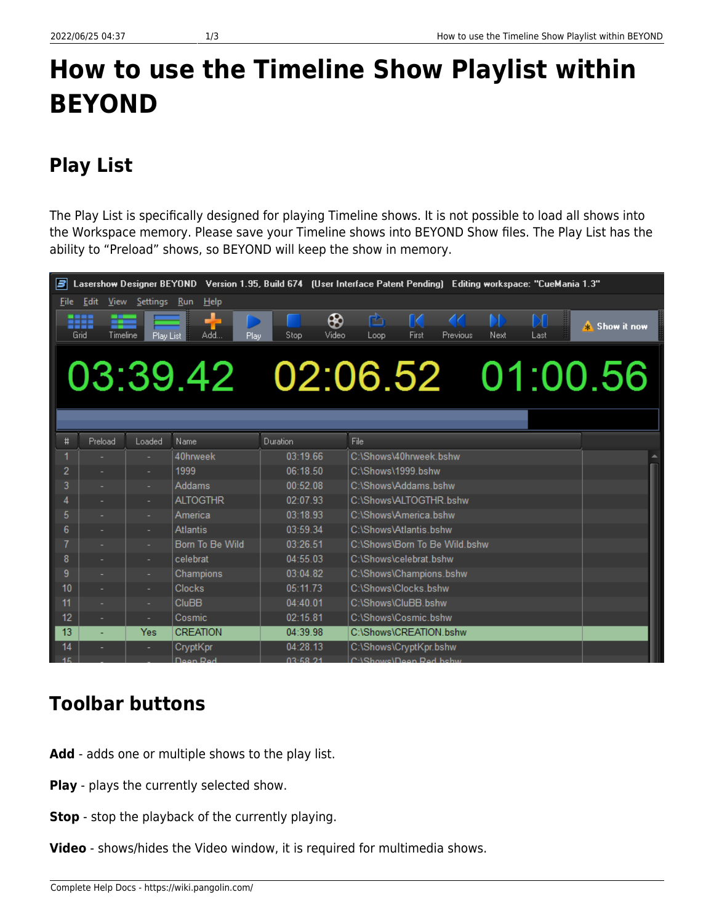# **How to use the Timeline Show Playlist within BEYOND**

## **Play List**

The Play List is specifically designed for playing Timeline shows. It is not possible to load all shows into the Workspace memory. Please save your Timeline shows into BEYOND Show files. The Play List has the ability to "Preload" shows, so BEYOND will keep the show in memory.

| Lasershow Designer BEYOND Version 1.95, Build 674 (User Interface Patent Pending) Editing workspace: "CueMania 1.3"<br>Е |                             |           |                 |                    |                                                                             |
|--------------------------------------------------------------------------------------------------------------------------|-----------------------------|-----------|-----------------|--------------------|-----------------------------------------------------------------------------|
|                                                                                                                          | File Edit View Settings Run |           | Help            |                    |                                                                             |
| Grid                                                                                                                     | m<br>Timeline               | Play List | Add<br>Play     | ⊛<br>Video<br>Stop | M<br>ß<br>ſK.<br>A Show it now<br>First<br>Next<br>Loop<br>Previous<br>Last |
|                                                                                                                          |                             |           |                 |                    |                                                                             |
|                                                                                                                          |                             |           |                 |                    | 03:39.42 02:06.52 01:00.56                                                  |
|                                                                                                                          |                             |           |                 |                    |                                                                             |
|                                                                                                                          |                             |           |                 |                    |                                                                             |
| #                                                                                                                        | Preload                     | Loaded    | Name            | Duration           | File                                                                        |
| 1                                                                                                                        |                             |           | 40hrweek        | 03:19.66           | C:\Shows\40hrweek.bshw                                                      |
| 2                                                                                                                        |                             |           | 1999            | 06:18.50           | C:\Shows\1999.bshw                                                          |
| 3                                                                                                                        |                             |           | Addams          | 00:52.08           | C:\Shows\Addams_bshw                                                        |
| 4                                                                                                                        |                             |           | <b>ALTOGTHR</b> | 02:07.93           | C:\Shows\ALTOGTHR.bshw                                                      |
| 5                                                                                                                        |                             |           | America         | 03:18.93           | C:\Shows\America.bshw                                                       |
| 6                                                                                                                        |                             |           | <b>Atlantis</b> | 03:59.34           | C:\Shows\Atlantis.bshw                                                      |
| 7                                                                                                                        |                             |           | Born To Be Wild | 03:26.51           | C:\Shows\Born To Be Wild.bshw                                               |
| 8                                                                                                                        |                             |           | celebrat        | 04:55.03           | C:\Shows\celebrat.bshw                                                      |
| 9                                                                                                                        |                             |           | Champions       | 03:04.82           | C:\Shows\Champions.bshw                                                     |
| 10                                                                                                                       |                             |           | Clocks          | 05:11.73           | C:\Shows\Clocks.bshw                                                        |
| 11                                                                                                                       |                             |           | <b>CluBB</b>    | 04:40.01           | C:\Shows\CluBB.bshw                                                         |
| 12                                                                                                                       | ÷,                          | ٠         | Cosmic          | 02:15.81           | C:\Shows\Cosmic.bshw                                                        |
| 13                                                                                                                       |                             | Yes       | <b>CREATION</b> | 04:39.98           | C:\Shows\CREATION.bshw                                                      |
| 14                                                                                                                       |                             |           | CryptKpr        | 04:28.13           | C:\Shows\CryptKpr.bshw                                                      |
| 15                                                                                                                       |                             |           | Doon Rod        | 03:58.21           | C:\Showe\Doon Rod hehw                                                      |

### **Toolbar buttons**

- Add adds one or multiple shows to the play list.
- **Play** plays the currently selected show.
- **Stop** stop the playback of the currently playing.
- **Video** shows/hides the Video window, it is required for multimedia shows.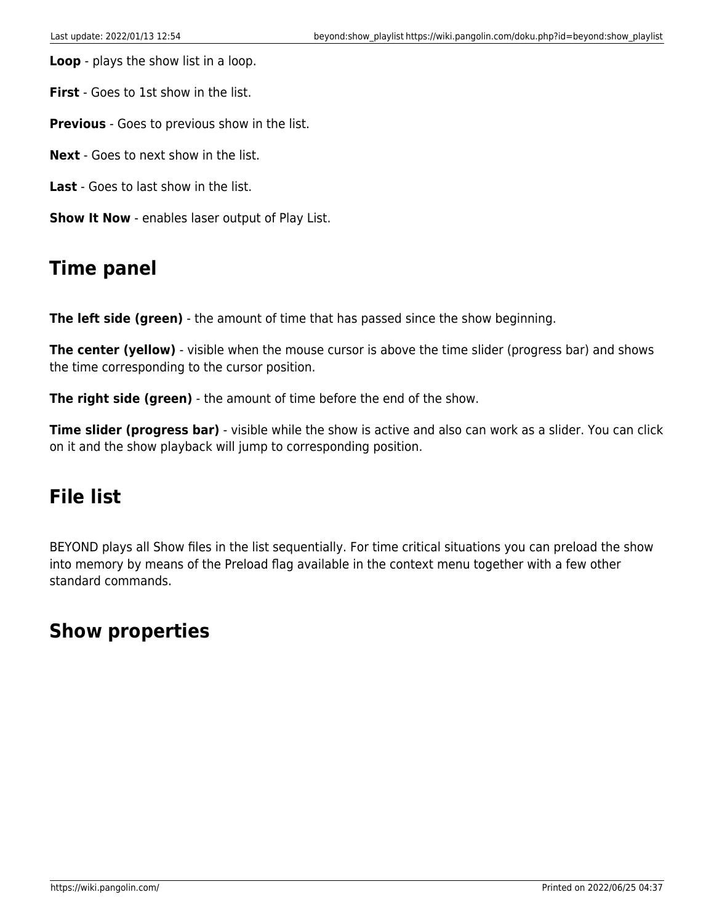**Loop** - plays the show list in a loop.

**First** - Goes to 1st show in the list.

**Previous** - Goes to previous show in the list.

**Next** - Goes to next show in the list.

**Last** - Goes to last show in the list.

**Show It Now** - enables laser output of Play List.

#### **Time panel**

**The left side (green)** - the amount of time that has passed since the show beginning.

**The center (yellow)** - visible when the mouse cursor is above the time slider (progress bar) and shows the time corresponding to the cursor position.

**The right side (green)** - the amount of time before the end of the show.

**Time slider (progress bar)** - visible while the show is active and also can work as a slider. You can click on it and the show playback will jump to corresponding position.

#### **File list**

BEYOND plays all Show files in the list sequentially. For time critical situations you can preload the show into memory by means of the Preload flag available in the context menu together with a few other standard commands.

#### **Show properties**